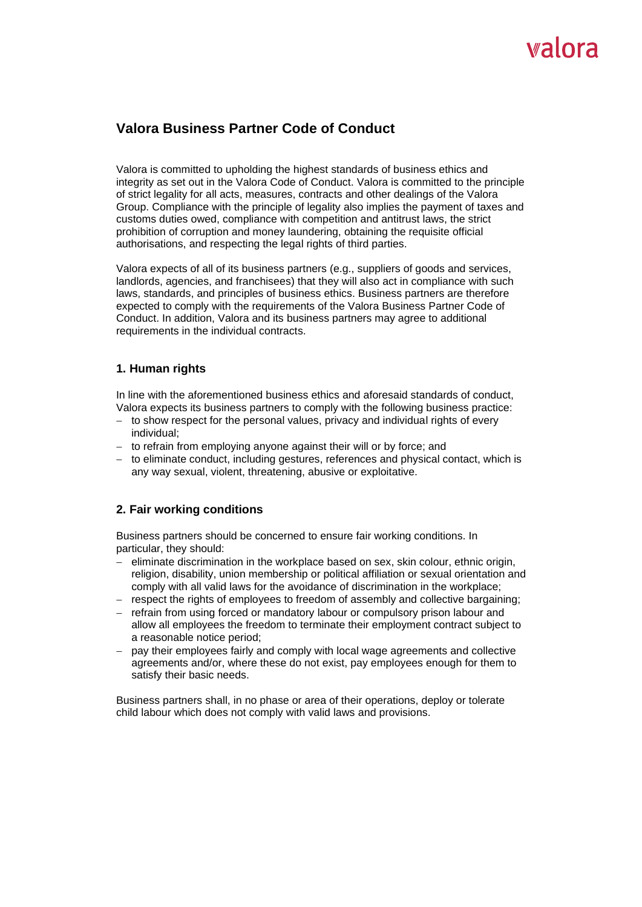# Walora

## **Valora Business Partner Code of Conduct**

Valora is committed to upholding the highest standards of business ethics and integrity as set out in the Valora Code of Conduct. Valora is committed to the principle of strict legality for all acts, measures, contracts and other dealings of the Valora Group. Compliance with the principle of legality also implies the payment of taxes and customs duties owed, compliance with competition and antitrust laws, the strict prohibition of corruption and money laundering, obtaining the requisite official authorisations, and respecting the legal rights of third parties.

Valora expects of all of its business partners (e.g., suppliers of goods and services, landlords, agencies, and franchisees) that they will also act in compliance with such laws, standards, and principles of business ethics. Business partners are therefore expected to comply with the requirements of the Valora Business Partner Code of Conduct. In addition, Valora and its business partners may agree to additional requirements in the individual contracts.

## **1. Human rights**

In line with the aforementioned business ethics and aforesaid standards of conduct, Valora expects its business partners to comply with the following business practice:

- − to show respect for the personal values, privacy and individual rights of every individual;
- − to refrain from employing anyone against their will or by force; and
- − to eliminate conduct, including gestures, references and physical contact, which is any way sexual, violent, threatening, abusive or exploitative.

## **2. Fair working conditions**

Business partners should be concerned to ensure fair working conditions. In particular, they should:

- − eliminate discrimination in the workplace based on sex, skin colour, ethnic origin, religion, disability, union membership or political affiliation or sexual orientation and comply with all valid laws for the avoidance of discrimination in the workplace;
- − respect the rights of employees to freedom of assembly and collective bargaining;
- − refrain from using forced or mandatory labour or compulsory prison labour and allow all employees the freedom to terminate their employment contract subject to a reasonable notice period;
- pay their employees fairly and comply with local wage agreements and collective agreements and/or, where these do not exist, pay employees enough for them to satisfy their basic needs.

Business partners shall, in no phase or area of their operations, deploy or tolerate child labour which does not comply with valid laws and provisions.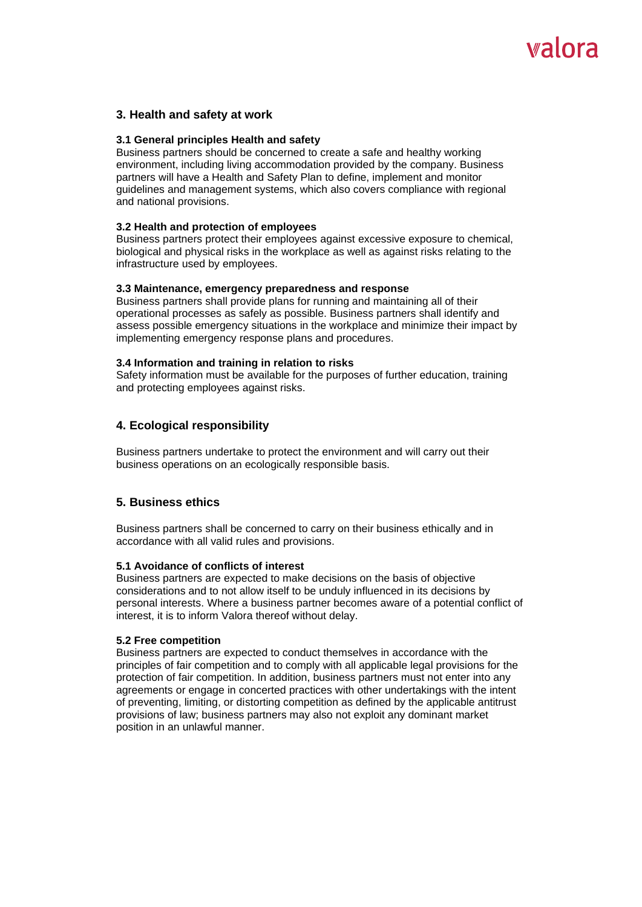# Walora

## **3. Health and safety at work**

## **3.1 General principles Health and safety**

Business partners should be concerned to create a safe and healthy working environment, including living accommodation provided by the company. Business partners will have a Health and Safety Plan to define, implement and monitor guidelines and management systems, which also covers compliance with regional and national provisions.

## **3.2 Health and protection of employees**

Business partners protect their employees against excessive exposure to chemical, biological and physical risks in the workplace as well as against risks relating to the infrastructure used by employees.

## **3.3 Maintenance, emergency preparedness and response**

Business partners shall provide plans for running and maintaining all of their operational processes as safely as possible. Business partners shall identify and assess possible emergency situations in the workplace and minimize their impact by implementing emergency response plans and procedures.

## **3.4 Information and training in relation to risks**

Safety information must be available for the purposes of further education, training and protecting employees against risks.

## **4. Ecological responsibility**

Business partners undertake to protect the environment and will carry out their business operations on an ecologically responsible basis.

## **5. Business ethics**

Business partners shall be concerned to carry on their business ethically and in accordance with all valid rules and provisions.

### **5.1 Avoidance of conflicts of interest**

Business partners are expected to make decisions on the basis of objective considerations and to not allow itself to be unduly influenced in its decisions by personal interests. Where a business partner becomes aware of a potential conflict of interest, it is to inform Valora thereof without delay.

### **5.2 Free competition**

Business partners are expected to conduct themselves in accordance with the principles of fair competition and to comply with all applicable legal provisions for the protection of fair competition. In addition, business partners must not enter into any agreements or engage in concerted practices with other undertakings with the intent of preventing, limiting, or distorting competition as defined by the applicable antitrust provisions of law; business partners may also not exploit any dominant market position in an unlawful manner.